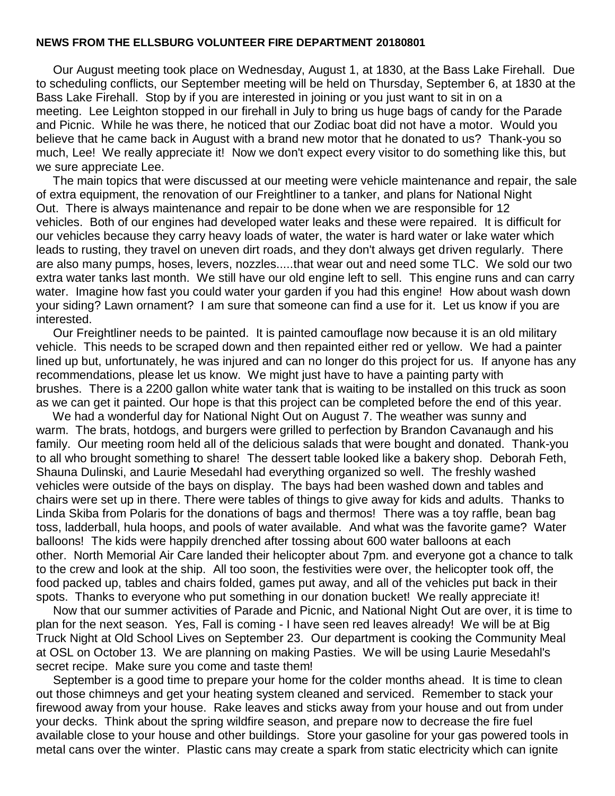## **NEWS FROM THE ELLSBURG VOLUNTEER FIRE DEPARTMENT 20180801**

 Our August meeting took place on Wednesday, August 1, at 1830, at the Bass Lake Firehall. Due to scheduling conflicts, our September meeting will be held on Thursday, September 6, at 1830 at the Bass Lake Firehall. Stop by if you are interested in joining or you just want to sit in on a meeting. Lee Leighton stopped in our firehall in July to bring us huge bags of candy for the Parade and Picnic. While he was there, he noticed that our Zodiac boat did not have a motor. Would you believe that he came back in August with a brand new motor that he donated to us? Thank-you so much, Lee! We really appreciate it! Now we don't expect every visitor to do something like this, but we sure appreciate Lee.

 The main topics that were discussed at our meeting were vehicle maintenance and repair, the sale of extra equipment, the renovation of our Freightliner to a tanker, and plans for National Night Out. There is always maintenance and repair to be done when we are responsible for 12 vehicles. Both of our engines had developed water leaks and these were repaired. It is difficult for our vehicles because they carry heavy loads of water, the water is hard water or lake water which leads to rusting, they travel on uneven dirt roads, and they don't always get driven regularly. There are also many pumps, hoses, levers, nozzles.....that wear out and need some TLC. We sold our two extra water tanks last month. We still have our old engine left to sell. This engine runs and can carry water. Imagine how fast you could water your garden if you had this engine! How about wash down your siding? Lawn ornament? I am sure that someone can find a use for it. Let us know if you are interested.

 Our Freightliner needs to be painted. It is painted camouflage now because it is an old military vehicle. This needs to be scraped down and then repainted either red or yellow. We had a painter lined up but, unfortunately, he was injured and can no longer do this project for us. If anyone has any recommendations, please let us know. We might just have to have a painting party with brushes. There is a 2200 gallon white water tank that is waiting to be installed on this truck as soon as we can get it painted. Our hope is that this project can be completed before the end of this year.

 We had a wonderful day for National Night Out on August 7. The weather was sunny and warm. The brats, hotdogs, and burgers were grilled to perfection by Brandon Cavanaugh and his family. Our meeting room held all of the delicious salads that were bought and donated. Thank-you to all who brought something to share! The dessert table looked like a bakery shop. Deborah Feth, Shauna Dulinski, and Laurie Mesedahl had everything organized so well. The freshly washed vehicles were outside of the bays on display. The bays had been washed down and tables and chairs were set up in there. There were tables of things to give away for kids and adults. Thanks to Linda Skiba from Polaris for the donations of bags and thermos! There was a toy raffle, bean bag toss, ladderball, hula hoops, and pools of water available. And what was the favorite game? Water balloons! The kids were happily drenched after tossing about 600 water balloons at each other. North Memorial Air Care landed their helicopter about 7pm. and everyone got a chance to talk to the crew and look at the ship. All too soon, the festivities were over, the helicopter took off, the food packed up, tables and chairs folded, games put away, and all of the vehicles put back in their spots. Thanks to everyone who put something in our donation bucket! We really appreciate it!

 Now that our summer activities of Parade and Picnic, and National Night Out are over, it is time to plan for the next season. Yes, Fall is coming - I have seen red leaves already! We will be at Big Truck Night at Old School Lives on September 23. Our department is cooking the Community Meal at OSL on October 13. We are planning on making Pasties. We will be using Laurie Mesedahl's secret recipe. Make sure you come and taste them!

September is a good time to prepare your home for the colder months ahead. It is time to clean out those chimneys and get your heating system cleaned and serviced. Remember to stack your firewood away from your house. Rake leaves and sticks away from your house and out from under your decks. Think about the spring wildfire season, and prepare now to decrease the fire fuel available close to your house and other buildings. Store your gasoline for your gas powered tools in metal cans over the winter. Plastic cans may create a spark from static electricity which can ignite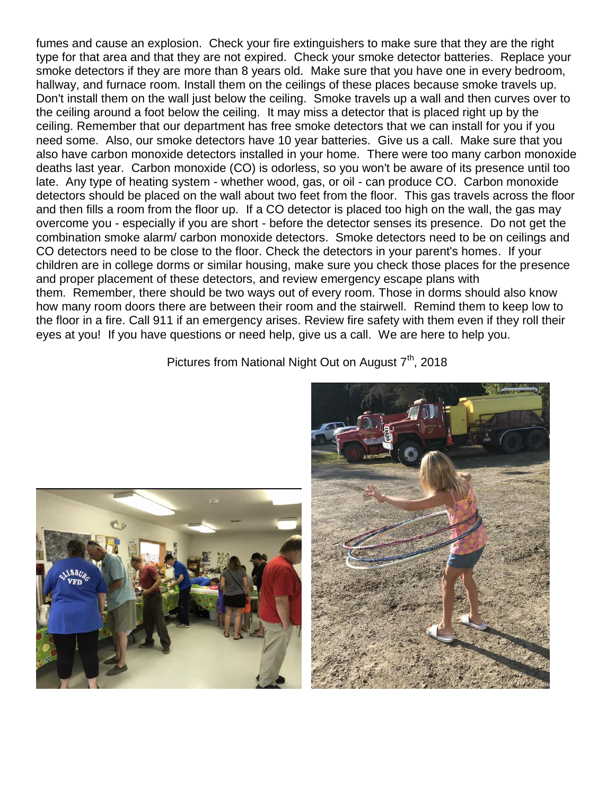fumes and cause an explosion. Check your fire extinguishers to make sure that they are the right type for that area and that they are not expired. Check your smoke detector batteries. Replace your smoke detectors if they are more than 8 years old. Make sure that you have one in every bedroom, hallway, and furnace room. Install them on the ceilings of these places because smoke travels up. Don't install them on the wall just below the ceiling. Smoke travels up a wall and then curves over to the ceiling around a foot below the ceiling. It may miss a detector that is placed right up by the ceiling. Remember that our department has free smoke detectors that we can install for you if you need some. Also, our smoke detectors have 10 year batteries. Give us a call. Make sure that you also have carbon monoxide detectors installed in your home. There were too many carbon monoxide deaths last year. Carbon monoxide (CO) is odorless, so you won't be aware of its presence until too late. Any type of heating system - whether wood, gas, or oil - can produce CO. Carbon monoxide detectors should be placed on the wall about two feet from the floor. This gas travels across the floor and then fills a room from the floor up. If a CO detector is placed too high on the wall, the gas may overcome you - especially if you are short - before the detector senses its presence. Do not get the combination smoke alarm/ carbon monoxide detectors. Smoke detectors need to be on ceilings and CO detectors need to be close to the floor. Check the detectors in your parent's homes. If your children are in college dorms or similar housing, make sure you check those places for the presence and proper placement of these detectors, and review emergency escape plans with them. Remember, there should be two ways out of every room. Those in dorms should also know how many room doors there are between their room and the stairwell. Remind them to keep low to the floor in a fire. Call 911 if an emergency arises. Review fire safety with them even if they roll their eyes at you! If you have questions or need help, give us a call. We are here to help you.

Pictures from National Night Out on August  $7<sup>th</sup>$ , 2018